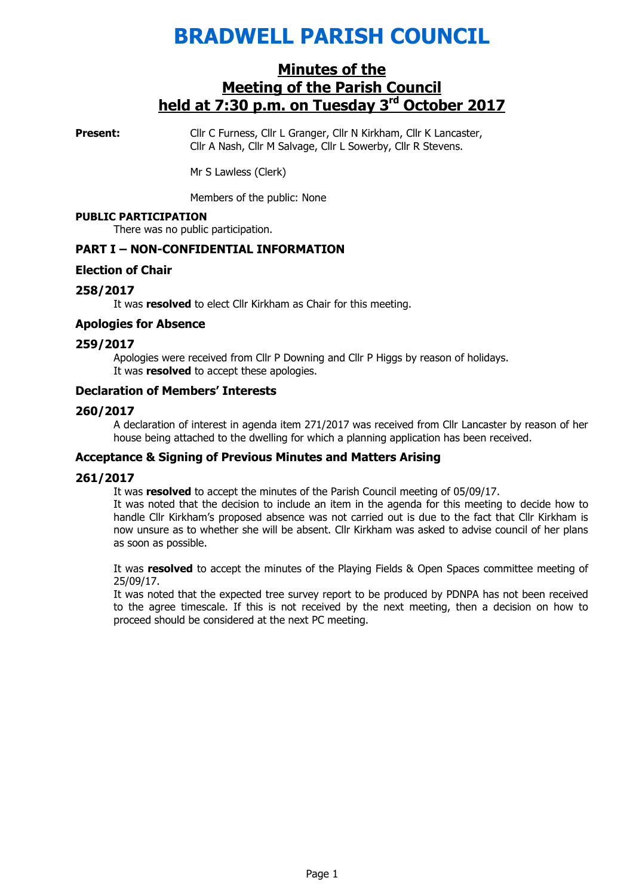# BRADWELL PARISH COUNCIL

# Minutes of the Meeting of the Parish Council held at 7:30 p.m. on Tuesday 3<sup>rd</sup> October 2017

**Present:** Cllr C Furness, Cllr L Granger, Cllr N Kirkham, Cllr K Lancaster, Cllr A Nash, Cllr M Salvage, Cllr L Sowerby, Cllr R Stevens.

Mr S Lawless (Clerk)

Members of the public: None

#### PUBLIC PARTICIPATION

There was no public participation.

#### PART I – NON-CONFIDENTIAL INFORMATION

#### Election of Chair

#### 258/2017

It was **resolved** to elect Cllr Kirkham as Chair for this meeting.

#### Apologies for Absence

#### 259/2017

 Apologies were received from Cllr P Downing and Cllr P Higgs by reason of holidays. It was **resolved** to accept these apologies.

#### Declaration of Members' Interests

#### 260/2017

A declaration of interest in agenda item 271/2017 was received from Cllr Lancaster by reason of her house being attached to the dwelling for which a planning application has been received.

## Acceptance & Signing of Previous Minutes and Matters Arising

#### 261/2017

It was resolved to accept the minutes of the Parish Council meeting of 05/09/17.

It was noted that the decision to include an item in the agenda for this meeting to decide how to handle Cllr Kirkham's proposed absence was not carried out is due to the fact that Cllr Kirkham is now unsure as to whether she will be absent. Cllr Kirkham was asked to advise council of her plans as soon as possible.

It was resolved to accept the minutes of the Playing Fields & Open Spaces committee meeting of 25/09/17.

It was noted that the expected tree survey report to be produced by PDNPA has not been received to the agree timescale. If this is not received by the next meeting, then a decision on how to proceed should be considered at the next PC meeting.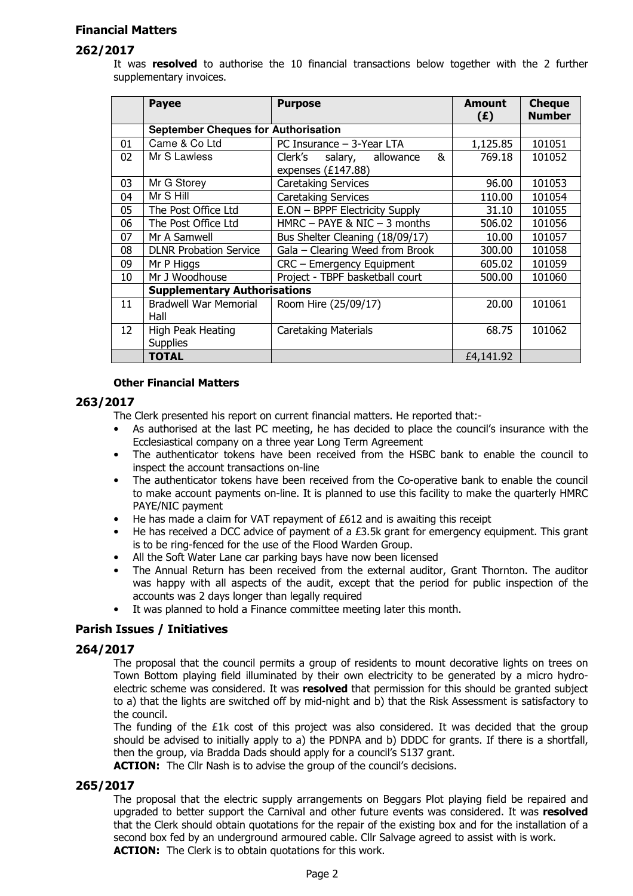## Financial Matters

## 262/2017

It was resolved to authorise the 10 financial transactions below together with the 2 further supplementary invoices.

|    | <b>Payee</b>                               | <b>Purpose</b>                    | <b>Amount</b><br>(E) | <b>Cheque</b><br><b>Number</b> |
|----|--------------------------------------------|-----------------------------------|----------------------|--------------------------------|
|    | <b>September Cheques for Authorisation</b> |                                   |                      |                                |
| 01 | Came & Co Ltd                              | PC Insurance - 3-Year LTA         | 1,125.85             | 101051                         |
| 02 | Mr S Lawless                               | Clerk's<br>salary, allowance<br>& | 769.18               | 101052                         |
|    |                                            | expenses (£147.88)                |                      |                                |
| 03 | Mr G Storey                                | <b>Caretaking Services</b>        | 96.00                | 101053                         |
| 04 | Mr S Hill                                  | <b>Caretaking Services</b>        | 110.00               | 101054                         |
| 05 | The Post Office Ltd                        | E.ON - BPPF Electricity Supply    | 31.10                | 101055                         |
| 06 | The Post Office Ltd                        | HMRC - PAYE & NIC - 3 months      | 506.02               | 101056                         |
| 07 | Mr A Samwell                               | Bus Shelter Cleaning (18/09/17)   | 10.00                | 101057                         |
| 08 | <b>DLNR Probation Service</b>              | Gala - Clearing Weed from Brook   | 300.00               | 101058                         |
| 09 | Mr P Higgs                                 | CRC - Emergency Equipment         | 605.02               | 101059                         |
| 10 | Mr J Woodhouse                             | Project - TBPF basketball court   | 500.00               | 101060                         |
|    | <b>Supplementary Authorisations</b>        |                                   |                      |                                |
| 11 | <b>Bradwell War Memorial</b><br>Hall       | Room Hire (25/09/17)              | 20.00                | 101061                         |
| 12 | High Peak Heating<br><b>Supplies</b>       | <b>Caretaking Materials</b>       | 68.75                | 101062                         |
|    | <b>TOTAL</b>                               |                                   | £4,141.92            |                                |

#### Other Financial Matters

#### 263/2017

The Clerk presented his report on current financial matters. He reported that:-

- As authorised at the last PC meeting, he has decided to place the council's insurance with the Ecclesiastical company on a three year Long Term Agreement
- The authenticator tokens have been received from the HSBC bank to enable the council to inspect the account transactions on-line
- The authenticator tokens have been received from the Co-operative bank to enable the council to make account payments on-line. It is planned to use this facility to make the quarterly HMRC PAYE/NIC payment
- He has made a claim for VAT repayment of £612 and is awaiting this receipt
- He has received a DCC advice of payment of a £3.5k grant for emergency equipment. This grant is to be ring-fenced for the use of the Flood Warden Group.
- All the Soft Water Lane car parking bays have now been licensed
- The Annual Return has been received from the external auditor, Grant Thornton. The auditor was happy with all aspects of the audit, except that the period for public inspection of the accounts was 2 days longer than legally required
- It was planned to hold a Finance committee meeting later this month.

## Parish Issues / Initiatives

## 264/2017

The proposal that the council permits a group of residents to mount decorative lights on trees on Town Bottom playing field illuminated by their own electricity to be generated by a micro hydroelectric scheme was considered. It was resolved that permission for this should be granted subject to a) that the lights are switched off by mid-night and b) that the Risk Assessment is satisfactory to the council.

The funding of the £1k cost of this project was also considered. It was decided that the group should be advised to initially apply to a) the PDNPA and b) DDDC for grants. If there is a shortfall, then the group, via Bradda Dads should apply for a council's S137 grant.

**ACTION:** The Cllr Nash is to advise the group of the council's decisions.

## 265/2017

The proposal that the electric supply arrangements on Beggars Plot playing field be repaired and upgraded to better support the Carnival and other future events was considered. It was resolved that the Clerk should obtain quotations for the repair of the existing box and for the installation of a second box fed by an underground armoured cable. Cllr Salvage agreed to assist with is work. **ACTION:** The Clerk is to obtain quotations for this work.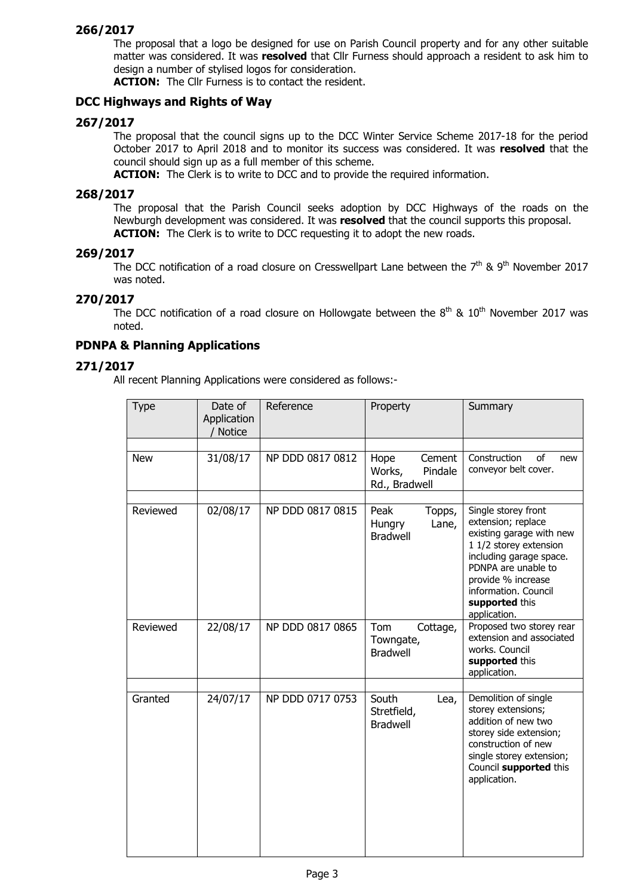## 266/2017

The proposal that a logo be designed for use on Parish Council property and for any other suitable matter was considered. It was **resolved** that Cllr Furness should approach a resident to ask him to design a number of stylised logos for consideration.

ACTION: The Cllr Furness is to contact the resident.

#### DCC Highways and Rights of Way

#### 267/2017

The proposal that the council signs up to the DCC Winter Service Scheme 2017-18 for the period October 2017 to April 2018 and to monitor its success was considered. It was resolved that the council should sign up as a full member of this scheme.

ACTION: The Clerk is to write to DCC and to provide the required information.

#### 268/2017

The proposal that the Parish Council seeks adoption by DCC Highways of the roads on the Newburgh development was considered. It was **resolved** that the council supports this proposal. **ACTION:** The Clerk is to write to DCC requesting it to adopt the new roads.

#### 269/2017

The DCC notification of a road closure on Cresswellpart Lane between the  $7<sup>th</sup>$  & 9<sup>th</sup> November 2017 was noted.

## 270/2017

The DCC notification of a road closure on Hollowgate between the  $8<sup>th</sup>$  &  $10<sup>th</sup>$  November 2017 was noted.

## PDNPA & Planning Applications

#### 271/2017

All recent Planning Applications were considered as follows:-

| <b>Type</b> | Date of<br>Application<br>/ Notice | Reference        | Property                                                    | Summary                                                                                                                                                                                                                           |  |
|-------------|------------------------------------|------------------|-------------------------------------------------------------|-----------------------------------------------------------------------------------------------------------------------------------------------------------------------------------------------------------------------------------|--|
|             |                                    |                  |                                                             |                                                                                                                                                                                                                                   |  |
| <b>New</b>  | 31/08/17                           | NP DDD 0817 0812 | Hope<br>Cement<br>Pindale<br>Works,<br>Rd., Bradwell        | Construction<br>of<br>new<br>conveyor belt cover.                                                                                                                                                                                 |  |
|             |                                    |                  |                                                             |                                                                                                                                                                                                                                   |  |
| Reviewed    | 02/08/17                           | NP DDD 0817 0815 | Peak<br>Topps,<br>Lane,<br><b>Hungry</b><br><b>Bradwell</b> | Single storey front<br>extension; replace<br>existing garage with new<br>1 1/2 storey extension<br>including garage space.<br>PDNPA are unable to<br>provide % increase<br>information. Council<br>supported this<br>application. |  |
| Reviewed    | 22/08/17                           | NP DDD 0817 0865 | Tom<br>Cottage,<br>Towngate,<br><b>Bradwell</b>             | Proposed two storey rear<br>extension and associated<br>works. Council<br>supported this<br>application.                                                                                                                          |  |
|             |                                    |                  |                                                             |                                                                                                                                                                                                                                   |  |
| Granted     | 24/07/17                           | NP DDD 0717 0753 | South<br>Lea,<br>Stretfield,<br><b>Bradwell</b>             | Demolition of single<br>storey extensions;<br>addition of new two<br>storey side extension;<br>construction of new<br>single storey extension;<br>Council supported this<br>application.                                          |  |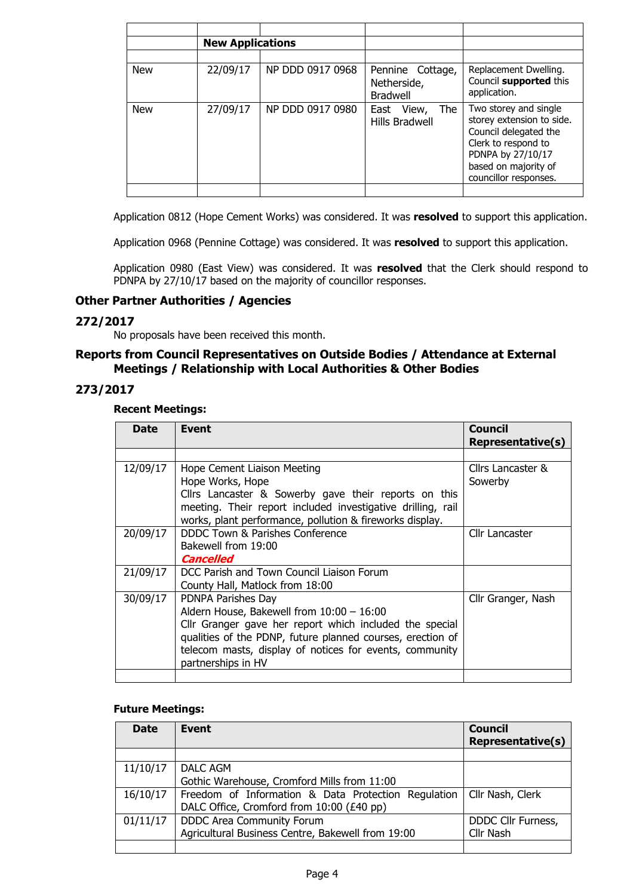|            | <b>New Applications</b> |                  |                                                    |                                                                                                                                                                          |
|------------|-------------------------|------------------|----------------------------------------------------|--------------------------------------------------------------------------------------------------------------------------------------------------------------------------|
|            |                         |                  |                                                    |                                                                                                                                                                          |
| <b>New</b> | 22/09/17                | NP DDD 0917 0968 | Pennine Cottage,<br>Netherside,<br><b>Bradwell</b> | Replacement Dwelling.<br>Council supported this<br>application.                                                                                                          |
| <b>New</b> | 27/09/17                | NP DDD 0917 0980 | The<br>View,<br>East<br>Hills Bradwell             | Two storey and single<br>storey extension to side.<br>Council delegated the<br>Clerk to respond to<br>PDNPA by 27/10/17<br>based on majority of<br>councillor responses. |
|            |                         |                  |                                                    |                                                                                                                                                                          |

Application 0812 (Hope Cement Works) was considered. It was resolved to support this application.

Application 0968 (Pennine Cottage) was considered. It was resolved to support this application.

Application 0980 (East View) was considered. It was resolved that the Clerk should respond to PDNPA by 27/10/17 based on the majority of councillor responses.

## Other Partner Authorities / Agencies

#### 272/2017

No proposals have been received this month.

## Reports from Council Representatives on Outside Bodies / Attendance at External Meetings / Relationship with Local Authorities & Other Bodies

## 273/2017

#### Recent Meetings:

| <b>Date</b> | <b>Event</b>                                                                                                                                                                                                                                                              | <b>Council</b><br><b>Representative(s)</b> |
|-------------|---------------------------------------------------------------------------------------------------------------------------------------------------------------------------------------------------------------------------------------------------------------------------|--------------------------------------------|
|             |                                                                                                                                                                                                                                                                           |                                            |
| 12/09/17    | Hope Cement Liaison Meeting<br>Hope Works, Hope<br>Cllrs Lancaster & Sowerby gave their reports on this<br>meeting. Their report included investigative drilling, rail<br>works, plant performance, pollution & fireworks display.                                        | Cllrs Lancaster &<br>Sowerby               |
| 20/09/17    | DDDC Town & Parishes Conference<br>Bakewell from 19:00<br>Cancelled                                                                                                                                                                                                       | Cllr Lancaster                             |
| 21/09/17    | DCC Parish and Town Council Liaison Forum<br>County Hall, Matlock from 18:00                                                                                                                                                                                              |                                            |
| 30/09/17    | PDNPA Parishes Day<br>Aldern House, Bakewell from 10:00 - 16:00<br>Cllr Granger gave her report which included the special<br>qualities of the PDNP, future planned courses, erection of<br>telecom masts, display of notices for events, community<br>partnerships in HV | Cllr Granger, Nash                         |
|             |                                                                                                                                                                                                                                                                           |                                            |

#### Future Meetings:

| <b>Date</b> | Event                                               | <b>Council</b><br><b>Representative(s)</b> |
|-------------|-----------------------------------------------------|--------------------------------------------|
|             |                                                     |                                            |
| 11/10/17    | DALC AGM                                            |                                            |
|             | Gothic Warehouse, Cromford Mills from 11:00         |                                            |
| 16/10/17    | Freedom of Information & Data Protection Regulation | Cllr Nash, Clerk                           |
|             | DALC Office, Cromford from 10:00 (£40 pp)           |                                            |
| 01/11/17    | <b>DDDC Area Community Forum</b>                    | DDDC Cllr Furness,                         |
|             | Agricultural Business Centre, Bakewell from 19:00   | Cllr Nash                                  |
|             |                                                     |                                            |